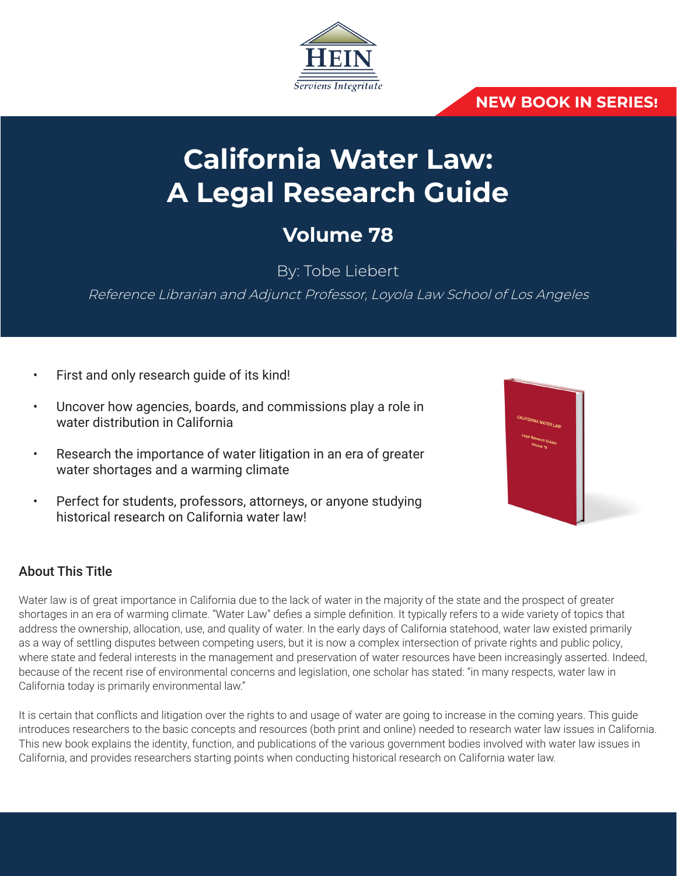

# **NEW BOOK IN SERIES!**

# **California Water Law: A Legal Research Guide**

# **Volume 78**

By: Tobe Liebert

Reference Librarian and Adjunct Professor, Loyola Law School of Los Angeles

- First and only research guide of its kind!
- Uncover how agencies, boards, and commissions play a role in water distribution in California
- Research the importance of water litigation in an era of greater water shortages and a warming climate
- Perfect for students, professors, attorneys, or anyone studying historical research on California water law!



# About This Title

Water law is of great importance in California due to the lack of water in the majority of the state and the prospect of greater shortages in an era of warming climate. "Water Law" defies a simple definition. It typically refers to a wide variety of topics that address the ownership, allocation, use, and quality of water. In the early days of California statehood, water law existed primarily as a way of settling disputes between competing users, but it is now a complex intersection of private rights and public policy, where state and federal interests in the management and preservation of water resources have been increasingly asserted. Indeed, because of the recent rise of environmental concerns and legislation, one scholar has stated: "in many respects, water law in California today is primarily environmental law."

It is certain that conflicts and litigation over the rights to and usage of water are going to increase in the coming years. This guide introduces researchers to the basic concepts and resources (both print and online) needed to research water law issues in California. This new book explains the identity, function, and publications of the various government bodies involved with water law issues in California, and provides researchers starting points when conducting historical research on California water law.